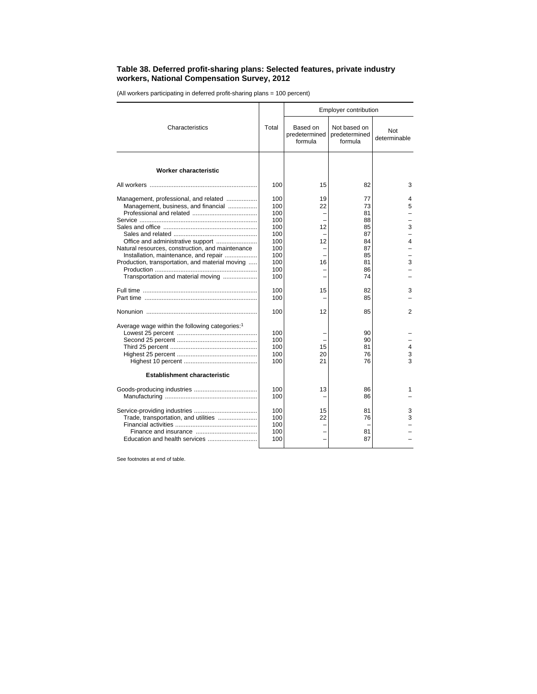## **Table 38. Deferred profit-sharing plans: Selected features, private industry workers, National Compensation Survey, 2012**

(All workers participating in deferred profit-sharing plans = 100 percent)

|                                                                                                                                                                                                                                                                                                         |                                                                                                | Employer contribution                |                                                                                  |                            |  |  |
|---------------------------------------------------------------------------------------------------------------------------------------------------------------------------------------------------------------------------------------------------------------------------------------------------------|------------------------------------------------------------------------------------------------|--------------------------------------|----------------------------------------------------------------------------------|----------------------------|--|--|
| Characteristics                                                                                                                                                                                                                                                                                         |                                                                                                | Based on<br>predetermined<br>formula | Not based on<br>predetermined<br>formula                                         | <b>Not</b><br>determinable |  |  |
| Worker characteristic                                                                                                                                                                                                                                                                                   |                                                                                                |                                      |                                                                                  |                            |  |  |
|                                                                                                                                                                                                                                                                                                         | 100                                                                                            | 15                                   | 82                                                                               | 3                          |  |  |
| Management, professional, and related<br>Management, business, and financial<br>Office and administrative support<br>Natural resources, construction, and maintenance<br>Installation, maintenance, and repair<br>Production, transportation, and material moving<br>Transportation and material moving | 100<br>100<br>100<br>100<br>100<br>100<br>100<br>100<br>100<br>100<br>100<br>100<br>100<br>100 | 19<br>22<br>12<br>12<br>16<br>15     | 77<br>73<br>81<br>88<br>85<br>87<br>84<br>87<br>85<br>81<br>86<br>74<br>82<br>85 | 4<br>5<br>3<br>4<br>3<br>3 |  |  |
|                                                                                                                                                                                                                                                                                                         | 100                                                                                            | 12                                   | 85                                                                               | 2                          |  |  |
| Average wage within the following categories: <sup>1</sup>                                                                                                                                                                                                                                              | 100<br>100<br>100<br>100<br>100                                                                | 15<br>20<br>21                       | 90<br>90<br>81<br>76<br>76                                                       | 4<br>3<br>3                |  |  |
| Establishment characteristic                                                                                                                                                                                                                                                                            |                                                                                                |                                      |                                                                                  |                            |  |  |
|                                                                                                                                                                                                                                                                                                         | 100<br>100                                                                                     | 13                                   | 86<br>86                                                                         | 1                          |  |  |
| Trade, transportation, and utilities                                                                                                                                                                                                                                                                    | 100<br>100<br>100<br>100<br>100                                                                | 15<br>22                             | 81<br>76<br>81<br>87                                                             | 3<br>3                     |  |  |

See footnotes at end of table.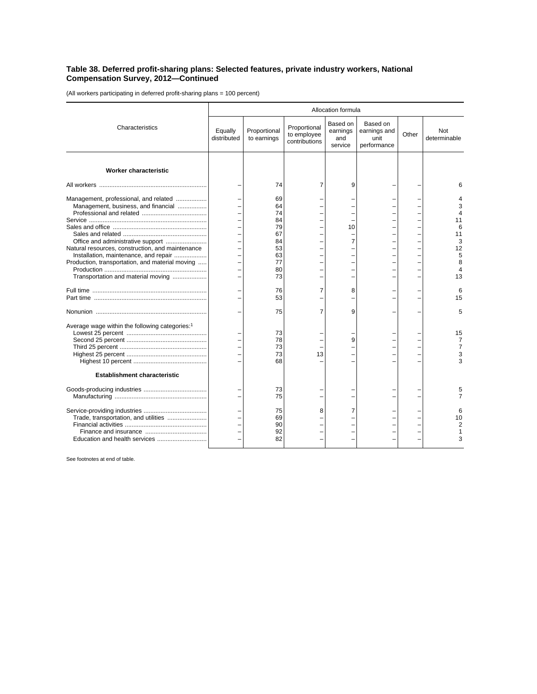## **Table 38. Deferred profit-sharing plans: Selected features, private industry workers, National Compensation Survey, 2012—Continued**

(All workers participating in deferred profit-sharing plans = 100 percent)

|                                                                                                                                | Allocation formula     |                             |                                              |                                        |                                                 |       |                                |
|--------------------------------------------------------------------------------------------------------------------------------|------------------------|-----------------------------|----------------------------------------------|----------------------------------------|-------------------------------------------------|-------|--------------------------------|
| Characteristics                                                                                                                | Equally<br>distributed | Proportional<br>to earnings | Proportional<br>to employee<br>contributions | Based on<br>earnings<br>and<br>service | Based on<br>earnings and<br>unit<br>performance | Other | Not<br>determinable            |
| <b>Worker characteristic</b>                                                                                                   |                        |                             |                                              |                                        |                                                 |       |                                |
|                                                                                                                                |                        | 74                          | 7                                            | 9                                      |                                                 |       | 6                              |
| Management, professional, and related<br>Management, business, and financial                                                   |                        | 69<br>64<br>74<br>84        |                                              |                                        |                                                 |       | p<br>Δ<br>11                   |
| Office and administrative support<br>Natural resources, construction, and maintenance                                          |                        | 79<br>67<br>84<br>53        |                                              | 10<br>$\overline{7}$                   |                                                 |       | 6<br>11<br>3<br>12             |
| Installation, maintenance, and repair<br>Production, transportation, and material moving<br>Transportation and material moving |                        | 63<br>77<br>80<br>73        |                                              | $\overline{\phantom{0}}$               |                                                 |       | 5<br>8<br>$\overline{4}$<br>13 |
|                                                                                                                                |                        | 76<br>53                    | 7                                            | 8                                      |                                                 |       | 6<br>15                        |
|                                                                                                                                |                        | 75                          | 7                                            | 9                                      |                                                 |       | 5                              |
| Average wage within the following categories: <sup>1</sup>                                                                     |                        | 73<br>78<br>73<br>73<br>68  | 13                                           | 9                                      |                                                 |       | 15<br>7<br>7<br>3<br>3         |
| <b>Establishment characteristic</b>                                                                                            |                        |                             |                                              |                                        |                                                 |       |                                |
|                                                                                                                                |                        | 73<br>75                    |                                              |                                        |                                                 |       | $\overline{7}$                 |
| Trade, transportation, and utilities                                                                                           |                        | 75<br>69<br>90<br>92<br>82  | 8                                            | 7                                      |                                                 |       | 6<br>10<br>2<br>3              |

See footnotes at end of table.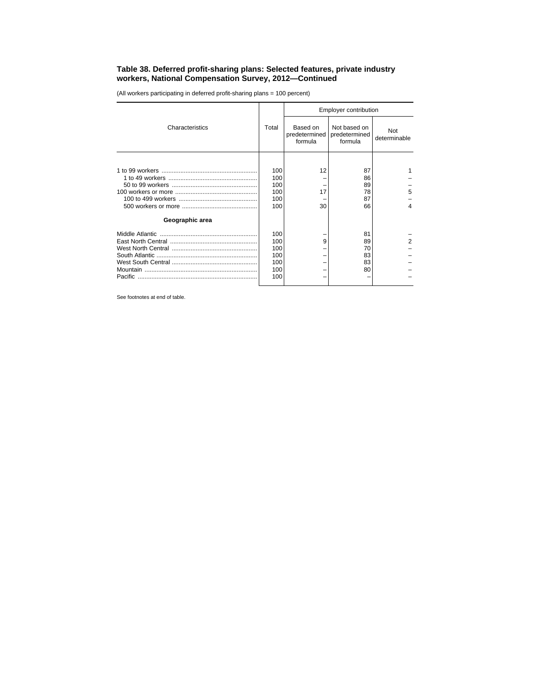## **Table 38. Deferred profit-sharing plans: Selected features, private industry workers, National Compensation Survey, 2012—Continued**

(All workers participating in deferred profit-sharing plans = 100 percent)

| Characteristics |     | Employer contribution                |                                          |                     |  |  |
|-----------------|-----|--------------------------------------|------------------------------------------|---------------------|--|--|
|                 |     | Based on<br>predetermined<br>formula | Not based on<br>predetermined<br>formula | Not<br>determinable |  |  |
|                 |     |                                      |                                          |                     |  |  |
|                 | 100 | 12                                   | 87                                       |                     |  |  |
|                 | 100 |                                      | 86                                       |                     |  |  |
|                 | 100 |                                      | 89                                       |                     |  |  |
|                 | 100 | 17                                   | 78                                       | 5                   |  |  |
|                 | 100 |                                      | 87                                       |                     |  |  |
|                 | 100 | 30                                   | 66                                       | 4                   |  |  |
| Geographic area |     |                                      |                                          |                     |  |  |
|                 | 100 |                                      | 81                                       |                     |  |  |
|                 | 100 | 9                                    | 89                                       | 2                   |  |  |
|                 | 100 |                                      | 70                                       |                     |  |  |
|                 | 100 |                                      | 83                                       |                     |  |  |
|                 | 100 |                                      | 83                                       |                     |  |  |
|                 | 100 |                                      | 80                                       |                     |  |  |
|                 | 100 |                                      |                                          |                     |  |  |

See footnotes at end of table.